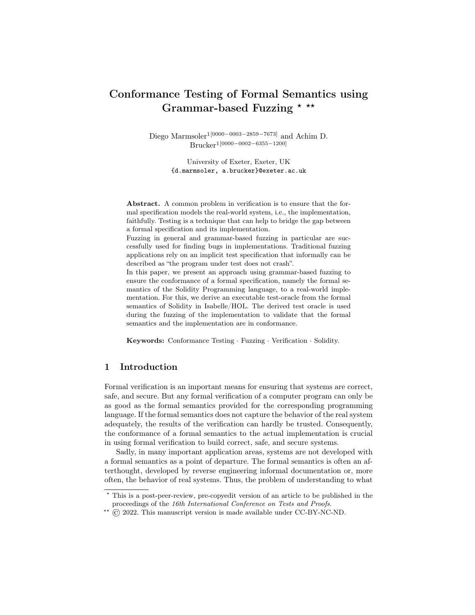# Conformance Testing of Formal Semantics using Grammar-based Fuzzing  $*$   $**$

Diego Marmsoler1[0000−0003−2859−7673] and Achim D. Brucker1[0000−0002−6355−1200]

> University of Exeter, Exeter, UK {d.marmsoler, a.brucker}@exeter.ac.uk

Abstract. A common problem in verification is to ensure that the formal specification models the real-world system, i.e., the implementation, faithfully. Testing is a technique that can help to bridge the gap between a formal specification and its implementation.

Fuzzing in general and grammar-based fuzzing in particular are successfully used for finding bugs in implementations. Traditional fuzzing applications rely on an implicit test specification that informally can be described as "the program under test does not crash".

In this paper, we present an approach using grammar-based fuzzing to ensure the conformance of a formal specification, namely the formal semantics of the Solidity Programming language, to a real-world implementation. For this, we derive an executable test-oracle from the formal semantics of Solidity in Isabelle/HOL. The derived test oracle is used during the fuzzing of the implementation to validate that the formal semantics and the implementation are in conformance.

Keywords: Conformance Testing · Fuzzing · Verification · Solidity.

# 1 Introduction

Formal verification is an important means for ensuring that systems are correct, safe, and secure. But any formal verification of a computer program can only be as good as the formal semantics provided for the corresponding programming language. If the formal semantics does not capture the behavior of the real system adequately, the results of the verification can hardly be trusted. Consequently, the conformance of a formal semantics to the actual implementation is crucial in using formal verification to build correct, safe, and secure systems.

Sadly, in many important application areas, systems are not developed with a formal semantics as a point of departure. The formal semantics is often an afterthought, developed by reverse engineering informal documentation or, more often, the behavior of real systems. Thus, the problem of understanding to what

<sup>?</sup> This is a post-peer-review, pre-copyedit version of an article to be published in the proceedings of the 16th International Conference on Tests and Proofs.

 $*$  (C) 2022. This manuscript version is made available under CC-BY-NC-ND.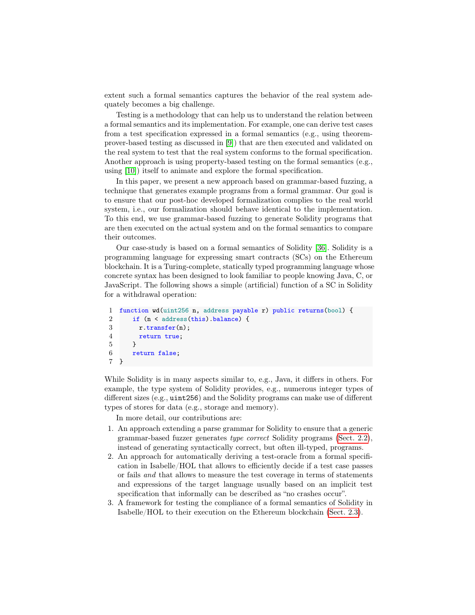extent such a formal semantics captures the behavior of the real system adequately becomes a big challenge.

Testing is a methodology that can help us to understand the relation between a formal semantics and its implementation. For example, one can derive test cases from a test specification expressed in a formal semantics (e.g., using theoremprover-based testing as discussed in [\[9\]](#page-17-0)) that are then executed and validated on the real system to test that the real system conforms to the formal specification. Another approach is using property-based testing on the formal semantics (e.g., using [\[10\]](#page-17-1)) itself to animate and explore the formal specification.

In this paper, we present a new approach based on grammar-based fuzzing, a technique that generates example programs from a formal grammar. Our goal is to ensure that our post-hoc developed formalization complies to the real world system, i.e., our formalization should behave identical to the implementation. To this end, we use grammar-based fuzzing to generate Solidity programs that are then executed on the actual system and on the formal semantics to compare their outcomes.

Our case-study is based on a formal semantics of Solidity [\[36\]](#page-19-0). Solidity is a programming language for expressing smart contracts (SCs) on the Ethereum blockchain. It is a Turing-complete, statically typed programming language whose concrete syntax has been designed to look familiar to people knowing Java, C, or JavaScript. The following shows a simple (artificial) function of a SC in Solidity for a withdrawal operation:

```
1 function wd(uint256 n, address payable r) public returns(bool) {
2 if (n < address(this).balance) {
3 r.transfer(n);
4 return true;
5 }
6 return false;
7 }
```
While Solidity is in many aspects similar to, e.g., Java, it differs in others. For example, the type system of Solidity provides, e.g., numerous integer types of different sizes (e.g., uint256) and the Solidity programs can make use of different types of stores for data (e.g., storage and memory).

In more detail, our contributions are:

- 1. An approach extending a parse grammar for Solidity to ensure that a generic grammar-based fuzzer generates type correct Solidity programs [\(Sect. 2.2\)](#page-4-0), instead of generating syntactically correct, but often ill-typed, programs.
- 2. An approach for automatically deriving a test-oracle from a formal specification in Isabelle/HOL that allows to efficiently decide if a test case passes or fails and that allows to measure the test coverage in terms of statements and expressions of the target language usually based on an implicit test specification that informally can be described as "no crashes occur".
- 3. A framework for testing the compliance of a formal semantics of Solidity in Isabelle/HOL to their execution on the Ethereum blockchain [\(Sect. 2.3\)](#page-8-0).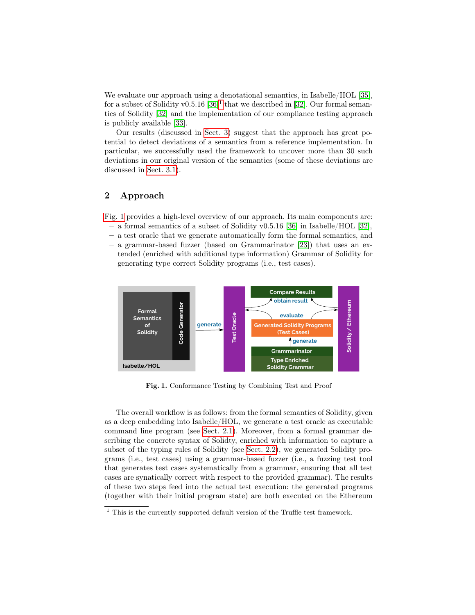We evaluate our approach using a denotational semantics, in Isabelle/HOL [\[35\]](#page-19-1), for a subset of Solidity v0.5.[1](#page-2-0)6  $[36]$ <sup>1</sup> that we described in [\[32\]](#page-18-0). Our formal semantics of Solidity [\[32\]](#page-18-0) and the implementation of our compliance testing approach is publicly available [\[33\]](#page-18-1).

Our results (discussed in [Sect. 3\)](#page-10-0) suggest that the approach has great potential to detect deviations of a semantics from a reference implementation. In particular, we successfully used the framework to uncover more than 30 such deviations in our original version of the semantics (some of these deviations are discussed in [Sect. 3.1\)](#page-11-0).

# 2 Approach

[Fig. 1](#page-2-1) provides a high-level overview of our approach. Its main components are:

- a formal semantics of a subset of Solidity v0.5.16 [\[36\]](#page-19-0) in Isabelle/HOL [\[32\]](#page-18-0),
- a test oracle that we generate automatically form the formal semantics, and
- a grammar-based fuzzer (based on Grammarinator [\[23\]](#page-18-2)) that uses an extended (enriched with additional type information) Grammar of Solidity for generating type correct Solidity programs (i.e., test cases).



<span id="page-2-1"></span>Fig. 1. Conformance Testing by Combining Test and Proof

The overall workflow is as follows: from the formal semantics of Solidity, given as a deep embedding into Isabelle/HOL, we generate a test oracle as executable command line program (see [Sect. 2.1\)](#page-3-0). Moreover, from a formal grammar describing the concrete syntax of Solidty, enriched with information to capture a subset of the typing rules of Solidity (see [Sect. 2.2\)](#page-4-0), we generated Solidity programs (i.e., test cases) using a grammar-based fuzzer (i.e., a fuzzing test tool that generates test cases systematically from a grammar, ensuring that all test cases are synatically correct with respect to the provided grammar). The results of these two steps feed into the actual test execution: the generated programs (together with their initial program state) are both executed on the Ethereum

<span id="page-2-0"></span><sup>&</sup>lt;sup>1</sup> This is the currently supported default version of the Truffle test framework.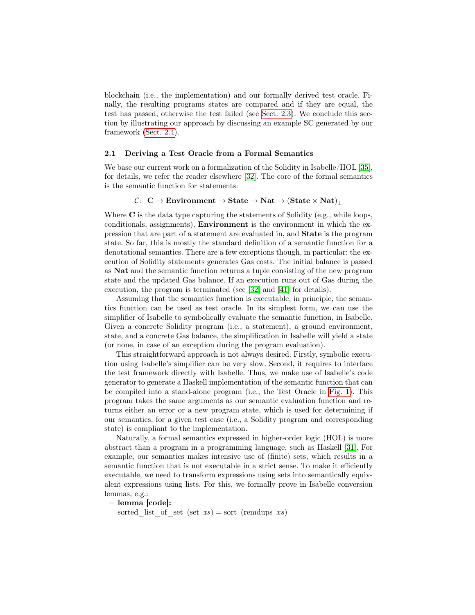blockchain (i.e., the implementation) and our formally derived test oracle. Finally, the resulting programs states are compared and if they are equal, the test has passed, otherwise the test failed (see [Sect. 2.3\)](#page-8-0). We conclude this section by illustrating our approach by discussing an example SC generated by our framework [\(Sect. 2.4\)](#page-9-0).

### <span id="page-3-0"></span>2.1 Deriving a Test Oracle from a Formal Semantics

We base our current work on a formalization of the Solidity in Isabelle/HOL [\[35\]](#page-19-1), for details, we refer the reader elsewhere [\[32\]](#page-18-0). The core of the formal semantics is the semantic function for statements:

## $C: \ \mathbb{C} \to \text{Environment} \to \text{State} \to \text{Nat} \to (\text{State} \times \text{Nat})$

Where  $C$  is the data type capturing the statements of Solidity (e.g., while loops, conditionals, assignments), Environment is the environment in which the expression that are part of a statement are evaluated in, and State is the program state. So far, this is mostly the standard definition of a semantic function for a denotational semantics. There are a few exceptions though, in particular: the execution of Solidity statements generates Gas costs. The initial balance is passed as Nat and the semantic function returns a tuple consisting of the new program state and the updated Gas balance. If an execution runs out of Gas during the execution, the program is terminated (see [\[32\]](#page-18-0) and [\[41\]](#page-19-2) for details).

Assuming that the semantics function is executable, in principle, the semantics function can be used as test oracle. In its simplest form, we can use the simplifier of Isabelle to symbolically evaluate the semantic function, in Isabelle. Given a concrete Solidity program (i.e., a statement), a ground environment, state, and a concrete Gas balance, the simplification in Isabelle will yield a state (or none, in case of an exception during the program evaluation).

This straightforward approach is not always desired. Firstly, symbolic execution using Isabelle's simplifier can be very slow. Second, it requires to interface the test framework directly with Isabelle. Thus, we make use of Isabelle's code generator to generate a Haskell implementation of the semantic function that can be compiled into a stand-alone program (i.e., the Test Oracle in [Fig. 1\)](#page-2-1). This program takes the same arguments as our semantic evaluation function and returns either an error or a new program state, which is used for determining if our semantics, for a given test case (i.e., a Solidity program and corresponding state) is compliant to the implementation.

Naturally, a formal semantics expressed in higher-order logic (HOL) is more abstract than a program in a programming language, such as Haskell [\[31\]](#page-18-3). For example, our semantics makes intensive use of (finite) sets, which results in a semantic function that is not executable in a strict sense. To make it efficiently executable, we need to transform expressions using sets into semantically equivalent expressions using lists. For this, we formally prove in Isabelle conversion lemmas, e.g.:

– lemma [code]:

sorted list of set (set  $xs$ ) = sort (remdups xs)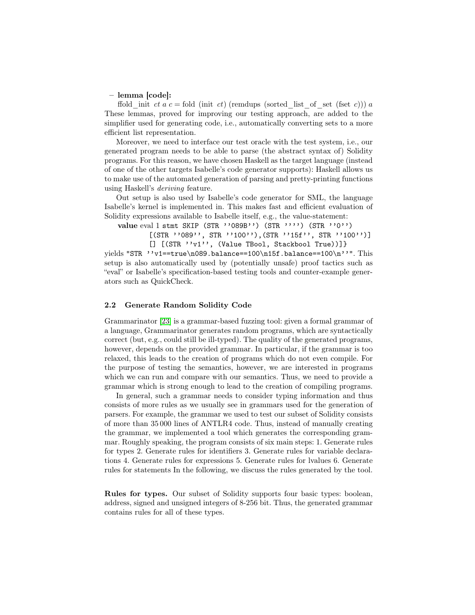#### – lemma [code]:

ffold init ct a c = fold (init ct) (remdups (sorted list of set (fset c))) a These lemmas, proved for improving our testing approach, are added to the simplifier used for generating code, i.e., automatically converting sets to a more efficient list representation.

Moreover, we need to interface our test oracle with the test system, i.e., our generated program needs to be able to parse (the abstract syntax of) Solidity programs. For this reason, we have chosen Haskell as the target language (instead of one of the other targets Isabelle's code generator supports): Haskell allows us to make use of the automated generation of parsing and pretty-printing functions using Haskell's deriving feature.

Out setup is also used by Isabelle's code generator for SML, the language Isabelle's kernel is implemented in. This makes fast and efficient evaluation of Solidity expressions available to Isabelle itself, e.g., the value-statement:

value eval 1 stmt SKIP (STR ''089B'') (STR '''') (STR ''0'')

 $[$ (STR ''089'', STR ''100''),(STR ''15f'', STR ''100'')] [] [(STR ''v1'', (Value TBool, Stackbool True))]}

yields "STR  $'$ 'v1==true\n089.balance==100\n15f.balance==100\n''". This setup is also automatically used by (potentially unsafe) proof tactics such as "eval" or Isabelle's specification-based testing tools and counter-example generators such as QuickCheck.

#### <span id="page-4-0"></span>2.2 Generate Random Solidity Code

Grammarinator [\[23\]](#page-18-2) is a grammar-based fuzzing tool: given a formal grammar of a language, Grammarinator generates random programs, which are syntactically correct (but, e.g., could still be ill-typed). The quality of the generated programs, however, depends on the provided grammar. In particular, if the grammar is too relaxed, this leads to the creation of programs which do not even compile. For the purpose of testing the semantics, however, we are interested in programs which we can run and compare with our semantics. Thus, we need to provide a grammar which is strong enough to lead to the creation of compiling programs.

In general, such a grammar needs to consider typing information and thus consists of more rules as we usually see in grammars used for the generation of parsers. For example, the grammar we used to test our subset of Solidity consists of more than 35 000 lines of ANTLR4 code. Thus, instead of manually creating the grammar, we implemented a tool which generates the corresponding grammar. Roughly speaking, the program consists of six main steps: 1. Generate rules for types 2. Generate rules for identifiers 3. Generate rules for variable declarations 4. Generate rules for expressions 5. Generate rules for lvalues 6. Generate rules for statements In the following, we discuss the rules generated by the tool.

Rules for types. Our subset of Solidity supports four basic types: boolean, address, signed and unsigned integers of 8-256 bit. Thus, the generated grammar contains rules for all of these types.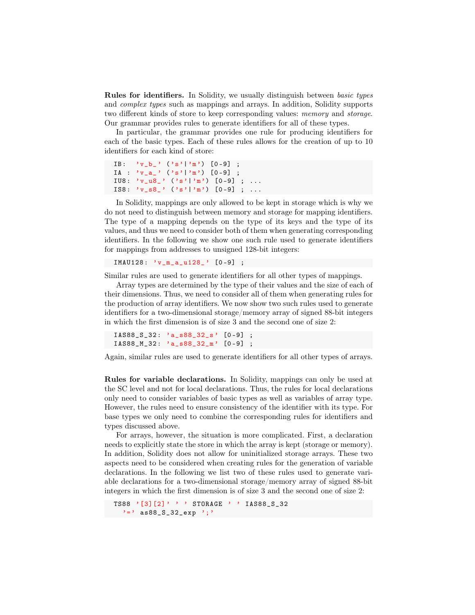**Rules for identifiers.** In Solidity, we usually distinguish between *basic types* and complex types such as mappings and arrays. In addition, Solidity supports two different kinds of store to keep corresponding values: memory and storage. Our grammar provides rules to generate identifiers for all of these types.

In particular, the grammar provides one rule for producing identifiers for each of the basic types. Each of these rules allows for the creation of up to 10 identifiers for each kind of store:

```
IB: 'v_b' ('s'|'m') [0-9] ;
IA : 'v_a' ' ('s'')' m') [0-9] ;IU8: 'v_1u8_ ' ('s'|'m') [0-9] ; ...
IS8: 'v<sub>-</sub>s8<sub>-</sub>' ('s'|'m') [0-9] ; ...
```
In Solidity, mappings are only allowed to be kept in storage which is why we do not need to distinguish between memory and storage for mapping identifiers. The type of a mapping depends on the type of its keys and the type of its values, and thus we need to consider both of them when generating corresponding identifiers. In the following we show one such rule used to generate identifiers for mappings from addresses to unsigned 128-bit integers:

IMAU128: 'v\_m\_a\_u128\_' [0-9] ;

Similar rules are used to generate identifiers for all other types of mappings.

Array types are determined by the type of their values and the size of each of their dimensions. Thus, we need to consider all of them when generating rules for the production of array identifiers. We now show two such rules used to generate identifiers for a two-dimensional storage/memory array of signed 88-bit integers in which the first dimension is of size 3 and the second one of size 2:

IAS88\_S\_32 : 'a\_s88\_32\_s ' [0 -9] ; IAS88\_M\_32 : 'a\_s88\_32\_m ' [0 -9] ;

Again, similar rules are used to generate identifiers for all other types of arrays.

Rules for variable declarations. In Solidity, mappings can only be used at the SC level and not for local declarations. Thus, the rules for local declarations only need to consider variables of basic types as well as variables of array type. However, the rules need to ensure consistency of the identifier with its type. For base types we only need to combine the corresponding rules for identifiers and types discussed above.

For arrays, however, the situation is more complicated. First, a declaration needs to explicitly state the store in which the array is kept (storage or memory). In addition, Solidity does not allow for uninitialized storage arrays. These two aspects need to be considered when creating rules for the generation of variable declarations. In the following we list two of these rules used to generate variable declarations for a two-dimensional storage/memory array of signed 88-bit integers in which the first dimension is of size 3 and the second one of size 2:

```
TS88 '[3][2]' ' ' STORAGE ' ' IAS88_S_32
  ' = ' as88_S_32_exp ';'
```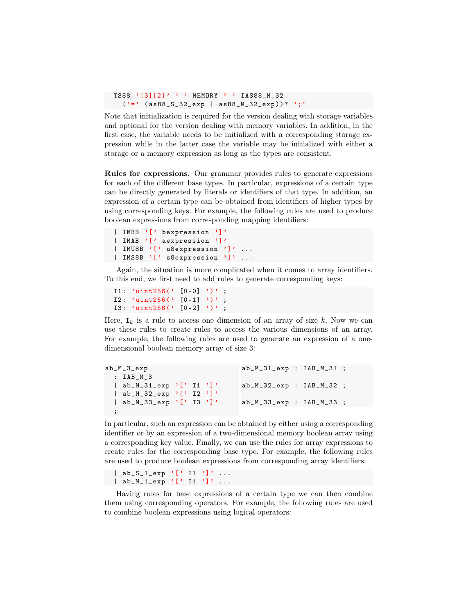```
TS88 ' [3][2] ' ' MEMORY ' ' IAS88_M_32
  ('=') (as88_S_S_32_{exp} | as88_M_32_{exp})? ';'
```
Note that initialization is required for the version dealing with storage variables and optional for the version dealing with memory variables. In addition, in the first case, the variable needs to be initialized with a corresponding storage expression while in the latter case the variable may be initialized with either a storage or a memory expression as long as the types are consistent.

Rules for expressions. Our grammar provides rules to generate expressions for each of the different base types. In particular, expressions of a certain type can be directly generated by literals or identifiers of that type. In addition, an expression of a certain type can be obtained from identifiers of higher types by using corresponding keys. For example, the following rules are used to produce boolean expressions from corresponding mapping identifiers:

```
| IMBB '[' bexpression ']'
| IMAB '<sup>'</sup> aexpression ']'
| IMU8B '[' u8expression ']' ...
| IMS8B '<sup>'</sup> s8expression ']' ...
```
Again, the situation is more complicated when it comes to array identifiers. To this end, we first need to add rules to generate corresponding keys:

```
I1: 'uint256(' [0-0] ');
I2: 'uint256(' [0-1]')'
I3: 'uint256 (' [0-2] ')';
```
Here,  $I_k$  is a rule to access one dimension of an array of size k. Now we can use these rules to create rules to access the various dimensions of an array. For example, the following rules are used to generate an expression of a onedimensional boolean memory array of size 3:

```
ab_M_3_exp
  : IAB_M_3
  | ab_M_31_exp '[' I1 ']'
  | ab_M_32_exp '[' I2 ']'
  | ab_M_33_exp '[' I3 ']'
  ;
                                 ab_M_31_exp : IAB_M_31 ;
                                 ab_M_32_exp : IAB_M_32 ;
                                 ab_M_33_exp : IAB_M_33 ;
```
In particular, such an expression can be obtained by either using a corresponding identifier or by an expression of a two-dimensional memory boolean array using a corresponding key value. Finally, we can use the rules for array expressions to create rules for the corresponding base type. For example, the following rules are used to produce boolean expressions from corresponding array identifiers:

 $\begin{bmatrix} ab\_S_1_exp' \\ b' & 11' \end{bmatrix}$ , ... | ab\_M\_1\_exp '[' I1 ']' ...

Having rules for base expressions of a certain type we can then combine them using corresponding operators. For example, the following rules are used to combine boolean expressions using logical operators: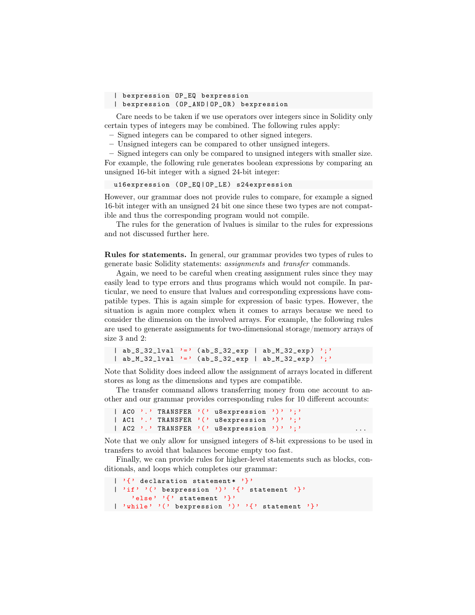| bexpression OP\_EQ bexpression

| bexpression ( OP\_AND | OP\_OR ) bexpression

Care needs to be taken if we use operators over integers since in Solidity only certain types of integers may be combined. The following rules apply:

– Signed integers can be compared to other signed integers.

– Unsigned integers can be compared to other unsigned integers.

– Signed integers can only be compared to unsigned integers with smaller size. For example, the following rule generates boolean expressions by comparing an unsigned 16-bit integer with a signed 24-bit integer:

u16expression ( OP\_EQ | OP\_LE ) s24expression

However, our grammar does not provide rules to compare, for example a signed 16-bit integer with an unsigned 24 bit one since these two types are not compatible and thus the corresponding program would not compile.

The rules for the generation of lvalues is similar to the rules for expressions and not discussed further here.

Rules for statements. In general, our grammar provides two types of rules to generate basic Solidity statements: assignments and transfer commands.

Again, we need to be careful when creating assignment rules since they may easily lead to type errors and thus programs which would not compile. In particular, we need to ensure that lvalues and corresponding expressions have compatible types. This is again simple for expression of basic types. However, the situation is again more complex when it comes to arrays because we need to consider the dimension on the involved arrays. For example, the following rules are used to generate assignments for two-dimensional storage/memory arrays of size 3 and 2:

```
| ab_S_32_lval '=' (ab_S_32_exp | ab_M_32_exp) ';'
| ab_M_32_lval '=' (ab_S_32_exp | ab_M_32_exp) ';'
```
Note that Solidity does indeed allow the assignment of arrays located in different stores as long as the dimensions and types are compatible.

The transfer command allows transferring money from one account to another and our grammar provides corresponding rules for 10 different accounts:

```
| ACO '.' TRANSFER '(' u8expression ')' ';'
| AC1 '.' TRANSFER '(' u8expression ')' ';'
| AC2 '.' TRANSFER '(' u8expression ')' ';'
```
Note that we only allow for unsigned integers of 8-bit expressions to be used in transfers to avoid that balances become empty too fast.

Finally, we can provide rules for higher-level statements such as blocks, conditionals, and loops which completes our grammar:

```
\vert \cdot \rangle declaration statement* \vert \cdot \rangle| 'if' '(' bexpression ')' '{' statement '}'
     'else' '{' statement '}'
| 'while ' '(' bexpression ')' '{' statement '}'
```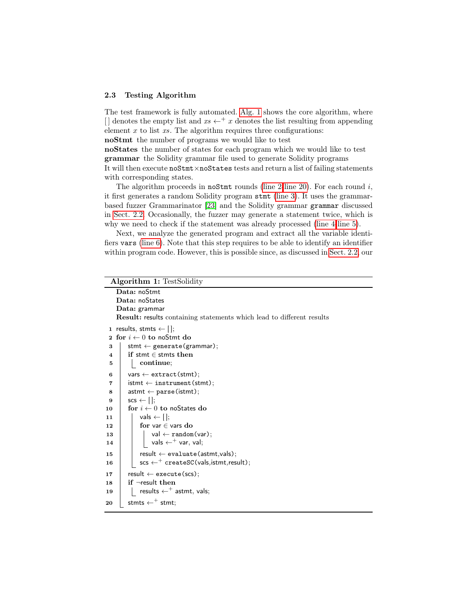#### <span id="page-8-0"></span>2.3 Testing Algorithm

The test framework is fully automated. [Alg. 1](#page-8-1) shows the core algorithm, where [] denotes the empty list and  $xs \leftarrow^+ x$  denotes the list resulting from appending element  $x$  to list  $xs$ . The algorithm requires three configurations:

noStmt the number of programs we would like to test

noStates the number of states for each program which we would like to test grammar the Solidity grammar file used to generate Solidity programs It will then execute noStmt×noStates tests and return a list of failing statements with corresponding states.

The algorithm proceeds in noStmt rounds [\(line 2](#page-8-2)[-line 20\)](#page-8-3). For each round  $i$ , it first generates a random Solidity program stmt [\(line 3\)](#page-8-4). It uses the grammarbased fuzzer Grammarinator [\[23\]](#page-18-2) and the Solidity grammar grammar discussed in [Sect. 2.2.](#page-4-0) Occasionally, the fuzzer may generate a statement twice, which is why we need to check if the statement was already processed [\(line 4-](#page-8-5)[line 5\)](#page-8-6).

Next, we analyze the generated program and extract all the variable identifiers vars [\(line 6\)](#page-8-7). Note that this step requires to be able to identify an identifier within program code. However, this is possible since, as discussed in [Sect. 2.2,](#page-4-0) our

<span id="page-8-15"></span><span id="page-8-14"></span><span id="page-8-13"></span><span id="page-8-12"></span><span id="page-8-11"></span><span id="page-8-10"></span><span id="page-8-9"></span><span id="page-8-8"></span><span id="page-8-7"></span><span id="page-8-6"></span><span id="page-8-5"></span><span id="page-8-4"></span><span id="page-8-3"></span><span id="page-8-2"></span><span id="page-8-1"></span>

|    | <b>Algorithm 1: TestSolidity</b>                                                               |  |  |  |
|----|------------------------------------------------------------------------------------------------|--|--|--|
|    | Data: noStmt                                                                                   |  |  |  |
|    | Data: noStates                                                                                 |  |  |  |
|    | Data: grammar                                                                                  |  |  |  |
|    | <b>Result:</b> results containing statements which lead to different results                   |  |  |  |
|    | 1 results, stmts $\leftarrow$ [];                                                              |  |  |  |
|    | 2 for $i \leftarrow 0$ to noStmt do                                                            |  |  |  |
| 3  | stmt $\leftarrow$ generate(grammar);                                                           |  |  |  |
| 4  | if stmt $\in$ stmts then                                                                       |  |  |  |
| 5  | continue;                                                                                      |  |  |  |
| 6  | $vars \leftarrow extract (stmt);$                                                              |  |  |  |
| 7  | $\mathsf{istmt} \leftarrow \mathsf{instrument}(\mathsf{stmt});$                                |  |  |  |
| 8  | $\mathsf{astmt} \leftarrow \mathsf{parse}(\mathsf{istmt});$                                    |  |  |  |
| 9  | $scs \leftarrow \lceil \cdot \rceil$                                                           |  |  |  |
| 10 | for $i \leftarrow 0$ to noStates do                                                            |  |  |  |
| 11 | vals $\leftarrow$ [];                                                                          |  |  |  |
| 12 | for var $\in$ vars do                                                                          |  |  |  |
| 13 | $val \leftarrow \text{random}(var);$                                                           |  |  |  |
| 14 | vals $\leftarrow^+$ var, val;                                                                  |  |  |  |
| 15 | $result \leftarrow evaluate(astmt,vals);$                                                      |  |  |  |
| 16 | $\mathsf{scs} \leftarrow^+ \mathsf{createSC}(\mathsf{vals}, \mathsf{istmt}, \mathsf{result});$ |  |  |  |
| 17 | $result \leftarrow execute(scs);$                                                              |  |  |  |
| 18 | if $\neg$ result then                                                                          |  |  |  |
| 19 | results $\leftarrow^+$ astmt, vals;                                                            |  |  |  |
| 20 | stmts $\leftarrow^+$ stmt;                                                                     |  |  |  |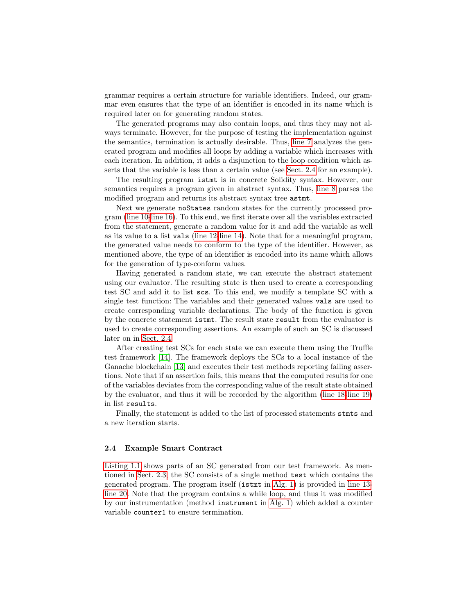grammar requires a certain structure for variable identifiers. Indeed, our grammar even ensures that the type of an identifier is encoded in its name which is required later on for generating random states.

The generated programs may also contain loops, and thus they may not always terminate. However, for the purpose of testing the implementation against the semantics, termination is actually desirable. Thus, [line 7](#page-8-8) analyzes the generated program and modifies all loops by adding a variable which increases with each iteration. In addition, it adds a disjunction to the loop condition which asserts that the variable is less than a certain value (see [Sect. 2.4](#page-9-0) for an example).

The resulting program istmt is in concrete Solidity syntax. However, our semantics requires a program given in abstract syntax. Thus, [line 8](#page-8-9) parses the modified program and returns its abstract syntax tree astmt.

Next we generate noStates random states for the currently processed program [\(line 10-](#page-8-10)[line 16\)](#page-8-11). To this end, we first iterate over all the variables extracted from the statement, generate a random value for it and add the variable as well as its value to a list vals [\(line 12-](#page-8-12)[line 14\)](#page-8-13). Note that for a meaningful program, the generated value needs to conform to the type of the identifier. However, as mentioned above, the type of an identifier is encoded into its name which allows for the generation of type-conform values.

Having generated a random state, we can execute the abstract statement using our evaluator. The resulting state is then used to create a corresponding test SC and add it to list scs. To this end, we modify a template SC with a single test function: The variables and their generated values vals are used to create corresponding variable declarations. The body of the function is given by the concrete statement istmt. The result state result from the evaluator is used to create corresponding assertions. An example of such an SC is discussed later on in [Sect. 2.4.](#page-9-0)

After creating test SCs for each state we can execute them using the Truffle test framework [\[14\]](#page-17-2). The framework deploys the SCs to a local instance of the Ganache blockchain [\[13\]](#page-17-3) and executes their test methods reporting failing assertions. Note that if an assertion fails, this means that the computed results for one of the variables deviates from the corresponding value of the result state obtained by the evaluator, and thus it will be recorded by the algorithm [\(line 18-](#page-8-14)[line 19\)](#page-8-15) in list results.

Finally, the statement is added to the list of processed statements stmts and a new iteration starts.

## <span id="page-9-0"></span>2.4 Example Smart Contract

[Listing 1.1](#page-10-1) shows parts of an SC generated from our test framework. As mentioned in [Sect. 2.3,](#page-8-0) the SC consists of a single method test which contains the generated program. The program itself (istmt in [Alg. 1\)](#page-8-1) is provided in [line 13](#page-10-2) [line 20.](#page-10-3) Note that the program contains a while loop, and thus it was modified by our instrumentation (method instrument in [Alg. 1\)](#page-8-1) which added a counter variable counter1 to ensure termination.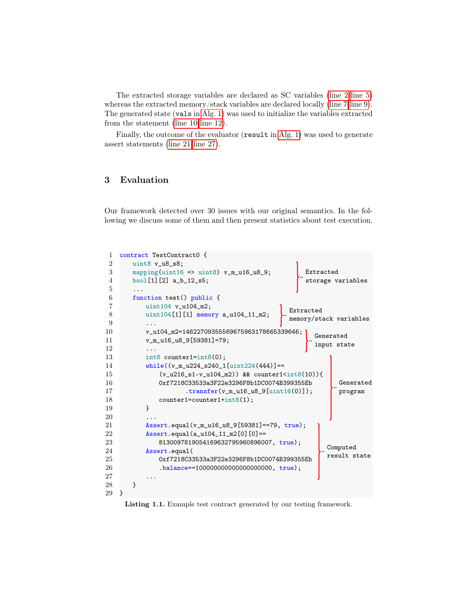The extracted storage variables are declared as SC variables [\(line 2-](#page-10-4)[line 5\)](#page-10-5) whereas the extracted memory/stack variables are declared locally [\(line 7-](#page-10-6)[line 9\)](#page-10-7). The generated state (vals in [Alg. 1\)](#page-8-1) was used to initialize the variables extracted from the statement [\(line 10-](#page-10-8)[line 12\)](#page-10-9).

Finally, the outcome of the evaluator (result in [Alg. 1\)](#page-8-1) was used to generate assert statements [\(line 21-](#page-10-10)[line 27\)](#page-10-11).

## <span id="page-10-0"></span>3 Evaluation

Our framework detected over 30 issues with our original semantics. In the following we discuss some of them and then present statistics about test execution.

```
1 contract TestContract0 {
2 uint8 v_u8_s8;
3 mapping(uint16 => uint8) v_{m_u}u16_u8_9;4 bool[1][2] a_b_12_s5;
 5 ...
6 function test() public {
 7 uint104 v_u104_m2;
8 uint104[1][1] memory a_u104_11_m2;
9 ...
10 v_u104_m2=14622709355569675963178665339646;
11 v_m_u16_u8_9[59381]=79;
12 ...
13 int8 counter1=int8(0);
14 while((v_m_u224_s240_1[uint224(444)]==
15 (v_u216_s1-v_u104_m2) && counter1<int8(10)){
16 0xf7218C33533a3F22e3296F8b1DC0074B399355Eb
17 .transfer(v_m_u16_u8_9[uint16(0)]);
18 counter1=counter1+int8(1);
19 }
20 ...
21 Assert.equal(v_m_u16_u8_9[59381]==79, true);
22 Assert.equal(a_u104_11_m2[0][0]==
23 8130097819054169632795960896007, true);
24 Assert.equal(
25 0xf7218C33533a3F22e3296F8b1DC0074B399355Eb
26 .balance==100000000000000000000, true);
27 ...
28 }
29 }
                                            Extracted
                                             storage variables
                                         Extracted
                                         memory/stack variables
                                               Generated
                                               input state
                                                    Generated
                                                    program
                                                 Computed
                                                 result state
```
<span id="page-10-11"></span><span id="page-10-10"></span><span id="page-10-3"></span>Listing 1.1. Example test contract generated by our testing framework.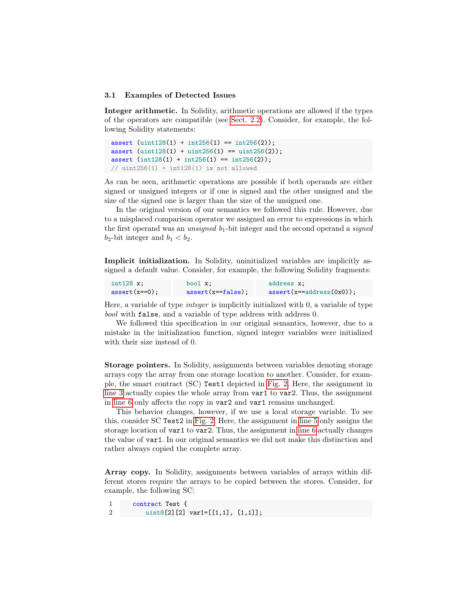#### <span id="page-11-0"></span>3.1 Examples of Detected Issues

Integer arithmetic. In Solidity, arithmetic operations are allowed if the types of the operators are compatible (see [Sect. 2.2\)](#page-4-0). Consider, for example, the following Solidity statements:

```
assert (uint128(1) + int256(1) == int256(2));assert (uint128(1) + uint256(1) == uint256(2));assert (int128(1) + int256(1) == int256(2));\frac{1}{1} uint256(1) + int128(1) is not allowed
```
As can be seen, arithmetic operations are possible if both operands are either signed or unsigned integers or if one is signed and the other unsigned and the size of the signed one is larger than the size of the unsigned one.

In the original version of our semantics we followed this rule. However, due to a misplaced comparison operator we assigned an error to expressions in which the first operand was an *unsigned*  $b_1$ -bit integer and the second operand a *signed*  $b_2$ -bit integer and  $b_1 < b_2$ .

Implicit initialization. In Solidity, uninitialized variables are implicitly assigned a default value. Consider, for example, the following Solidity fragments:

| $int128 x$ :    | bool x;                | address x:                          |
|-----------------|------------------------|-------------------------------------|
| $assert(x==0);$ | $assert(x == false)$ ; | $\text{assert}(x = address(0x0))$ ; |

Here, a variable of type integer is implicitly initialized with 0, a variable of type bool with false, and a variable of type address with address 0.

We followed this specification in our original semantics, however, due to a mistake in the initialization function, signed integer variables were initialized with their size instead of 0.

Storage pointers. In Solidity, assignments between variables denoting storage arrays copy the array from one storage location to another. Consider, for example, the smart contract (SC) Test1 depicted in [Fig. 2.](#page-12-0) Here, the assignment in [line 3](#page-12-1) actually copies the whole array from var1 to var2. Thus, the assignment in [line 6](#page-12-2) only affects the copy in var2 and var1 remains unchanged.

This behavior changes, however, if we use a local storage variable. To see this, consider SC Test2 in [Fig. 2.](#page-12-0) Here, the assignment in [line 5](#page-12-3) only assigns the storage location of var1 to var2. Thus, the assignment in [line 6](#page-12-4) actually changes the value of var1. In our original semantics we did not make this distinction and rather always copied the complete array.

Array copy. In Solidity, assignments between variables of arrays within different stores require the arrays to be copied between the stores. Consider, for example, the following SC:

1 contract Test { 2 uint8[2][2] var1=[[1,1], [1,1]];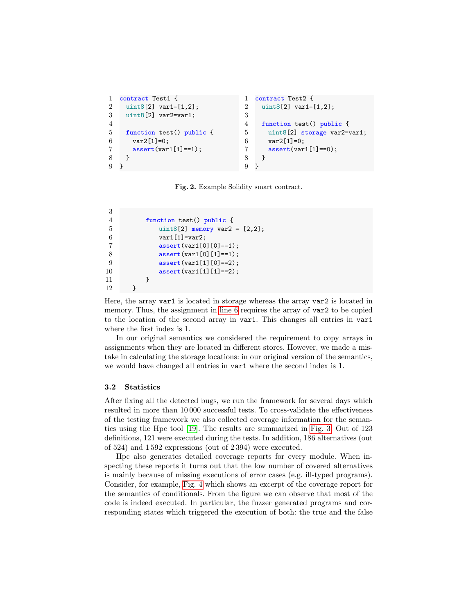```
1 contract Test1 {
2 \text{uint8[2]} \text{ var1=[1,2];}3 uint8[2] var2=var1;
4
5 function test() public {
6 var2[1]=0;7 assert(var1[1]==1);
8 }
9 }
                                  1 contract Test2 {
                                  2 uint8[2] var1=[1,2];
                                  3
                                  4 function test() public {
                                  5 uint8[2] storage var2=var1;
                                  6 var2[1]=0;7 assert(var1[1]==0);
                                  8 }
                                  9 }
```
<span id="page-12-4"></span><span id="page-12-3"></span><span id="page-12-0"></span>Fig. 2. Example Solidity smart contract.

```
3
4 function test() public {
5 uint8[2] memory var2 = [2,2];
6 var1[1]=var2;
7 assert(var1[0][0]==1);
8 assert(var1[0][1]==1);
9 \text{assert}(\text{var1}[1][0] == 2);10 assert(var1[1][1]==2);
11 }
12 }
```
Here, the array var1 is located in storage whereas the array var2 is located in memory. Thus, the assignment in [line 6](#page-12-5) requires the array of var2 to be copied to the location of the second array in var1. This changes all entries in var1 where the first index is 1.

In our original semantics we considered the requirement to copy arrays in assignments when they are located in different stores. However, we made a mistake in calculating the storage locations: in our original version of the semantics, we would have changed all entries in var1 where the second index is 1.

## 3.2 Statistics

After fixing all the detected bugs, we run the framework for several days which resulted in more than 10 000 successful tests. To cross-validate the effectiveness of the testing framework we also collected coverage information for the semantics using the Hpc tool [\[19\]](#page-18-4). The results are summarized in [Fig. 3:](#page-13-0) Out of 123 definitions, 121 were executed during the tests. In addition, 186 alternatives (out of 524) and 1 592 expressions (out of 2 394) were executed.

Hpc also generates detailed coverage reports for every module. When inspecting these reports it turns out that the low number of covered alternatives is mainly because of missing executions of error cases (e.g. ill-typed programs). Consider, for example, [Fig. 4](#page-13-1) which shows an excerpt of the coverage report for the semantics of conditionals. From the figure we can observe that most of the code is indeed executed. In particular, the fuzzer generated programs and corresponding states which triggered the execution of both: the true and the false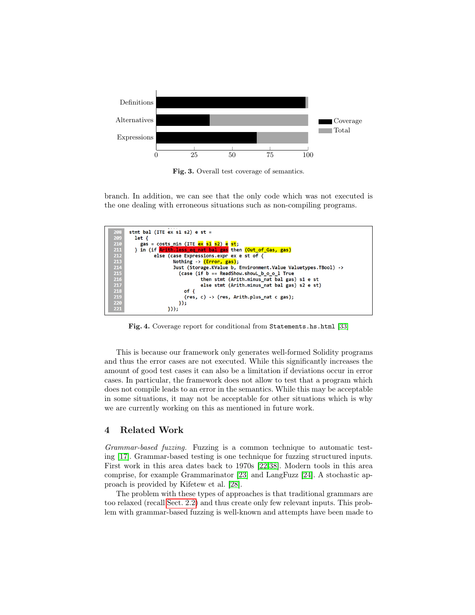

<span id="page-13-0"></span>Fig. 3. Overall test coverage of semantics.

branch. In addition, we can see that the only code which was not executed is the one dealing with erroneous situations such as non-compiling programs.



Fig. 4. Coverage report for conditional from Statements.hs.html [\[33\]](#page-18-1)

<span id="page-13-1"></span>This is because our framework only generates well-formed Solidity programs and thus the error cases are not executed. While this significantly increases the amount of good test cases it can also be a limitation if deviations occur in error cases. In particular, the framework does not allow to test that a program which does not compile leads to an error in the semantics. While this may be acceptable in some situations, it may not be acceptable for other situations which is why we are currently working on this as mentioned in future work.

## 4 Related Work

Grammar-based fuzzing. Fuzzing is a common technique to automatic testing [\[17\]](#page-17-4). Grammar-based testing is one technique for fuzzing structured inputs. First work in this area dates back to 1970s [\[22,](#page-18-5)[38\]](#page-19-3). Modern tools in this area comprise, for example Grammarinator [\[23\]](#page-18-2) and LangFuzz [\[24\]](#page-18-6). A stochastic approach is provided by Kifetew et al. [\[28\]](#page-18-7).

The problem with these types of approaches is that traditional grammars are too relaxed (recall [Sect. 2.2\)](#page-4-0) and thus create only few relevant inputs. This problem with grammar-based fuzzing is well-known and attempts have been made to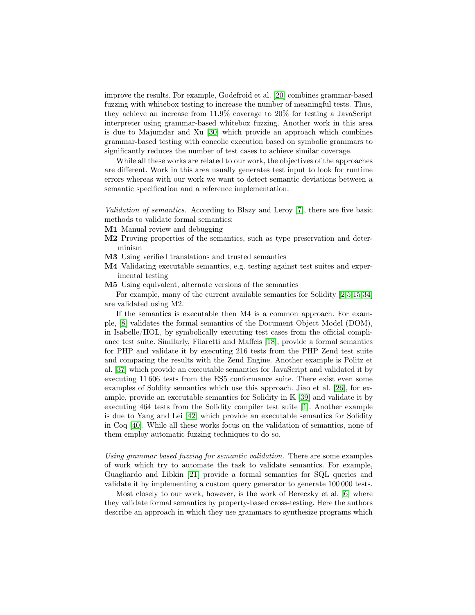improve the results. For example, Godefroid et al. [\[20\]](#page-18-8) combines grammar-based fuzzing with whitebox testing to increase the number of meaningful tests. Thus, they achieve an increase from 11.9% coverage to 20% for testing a JavaScript interpreter using grammar-based whitebox fuzzing. Another work in this area is due to Majumdar and Xu [\[30\]](#page-18-9) which provide an approach which combines grammar-based testing with concolic execution based on symbolic grammars to significantly reduces the number of test cases to achieve similar coverage.

While all these works are related to our work, the objectives of the approaches are different. Work in this area usually generates test input to look for runtime errors whereas with our work we want to detect semantic deviations between a semantic specification and a reference implementation.

Validation of semantics. According to Blazy and Leroy [\[7\]](#page-17-5), there are five basic methods to validate formal semantics:

- M1 Manual review and debugging
- M2 Proving properties of the semantics, such as type preservation and determinism
- M3 Using verified translations and trusted semantics
- M4 Validating executable semantics, e.g. testing against test suites and experimental testing
- M5 Using equivalent, alternate versions of the semantics

For example, many of the current available semantics for Solidity [\[2,](#page-17-6)[5,](#page-17-7)[15,](#page-17-8)[34\]](#page-19-4) are validated using M2.

If the semantics is executable then M4 is a common approach. For example, [\[8\]](#page-17-9) validates the formal semantics of the Document Object Model (DOM), in Isabelle/HOL, by symbolically executing test cases from the official compliance test suite. Similarly, Filaretti and Maffeis [\[18\]](#page-18-10), provide a formal semantics for PHP and validate it by executing 216 tests from the PHP Zend test suite and comparing the results with the Zend Engine. Another example is Politz et al. [\[37\]](#page-19-5) which provide an executable semantics for JavaScript and validated it by executing 11 606 tests from the ES5 conformance suite. There exist even some examples of Soldity semantics which use this approach. Jiao et al. [\[26\]](#page-18-11), for example, provide an executable semantics for Solidity in K [\[39\]](#page-19-6) and validate it by executing 464 tests from the Solidity compiler test suite [\[1\]](#page-16-0). Another example is due to Yang and Lei [\[42\]](#page-19-7) which provide an executable semantics for Solidity in Coq [\[40\]](#page-19-8). While all these works focus on the validation of semantics, none of them employ automatic fuzzing techniques to do so.

Using grammar based fuzzing for semantic validation. There are some examples of work which try to automate the task to validate semantics. For example, Guagliardo and Libkin [\[21\]](#page-18-12) provide a formal semantics for SQL queries and validate it by implementing a custom query generator to generate 100 000 tests.

Most closely to our work, however, is the work of Bereczky et al. [\[6\]](#page-17-10) where they validate formal semantics by property-based cross-testing. Here the authors describe an approach in which they use grammars to synthesize programs which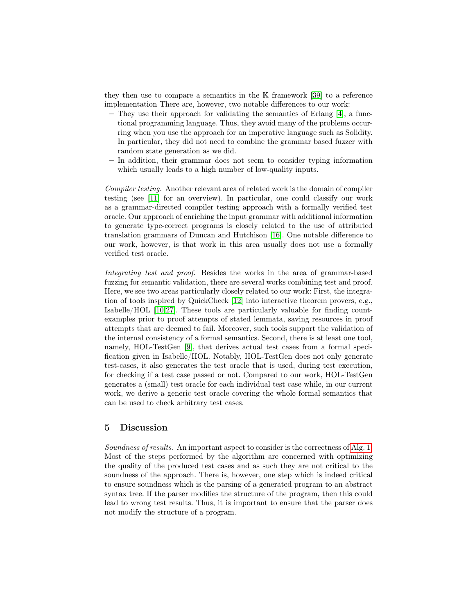they then use to compare a semantics in the K framework [\[39\]](#page-19-6) to a reference implementation There are, however, two notable differences to our work:

- They use their approach for validating the semantics of Erlang [\[4\]](#page-17-11), a functional programming language. Thus, they avoid many of the problems occurring when you use the approach for an imperative language such as Solidity. In particular, they did not need to combine the grammar based fuzzer with random state generation as we did.
- In addition, their grammar does not seem to consider typing information which usually leads to a high number of low-quality inputs.

Compiler testing. Another relevant area of related work is the domain of compiler testing (see [\[11\]](#page-17-12) for an overview). In particular, one could classify our work as a grammar-directed compiler testing approach with a formally verified test oracle. Our approach of enriching the input grammar with additional information to generate type-correct programs is closely related to the use of attributed translation grammars of Duncan and Hutchison [\[16\]](#page-17-13). One notable difference to our work, however, is that work in this area usually does not use a formally verified test oracle.

Integrating test and proof. Besides the works in the area of grammar-based fuzzing for semantic validation, there are several works combining test and proof. Here, we see two areas particularly closely related to our work: First, the integration of tools inspired by QuickCheck [\[12\]](#page-17-14) into interactive theorem provers, e.g., Isabelle/HOL [\[10,](#page-17-1)[27\]](#page-18-13). These tools are particularly valuable for finding countexamples prior to proof attempts of stated lemmata, saving resources in proof attempts that are deemed to fail. Moreover, such tools support the validation of the internal consistency of a formal semantics. Second, there is at least one tool, namely, HOL-TestGen [\[9\]](#page-17-0), that derives actual test cases from a formal specification given in Isabelle/HOL. Notably, HOL-TestGen does not only generate test-cases, it also generates the test oracle that is used, during test execution, for checking if a test case passed or not. Compared to our work, HOL-TestGen generates a (small) test oracle for each individual test case while, in our current work, we derive a generic test oracle covering the whole formal semantics that can be used to check arbitrary test cases.

## 5 Discussion

Soundness of results. An important aspect to consider is the correctness of [Alg. 1.](#page-8-1) Most of the steps performed by the algorithm are concerned with optimizing the quality of the produced test cases and as such they are not critical to the soundness of the approach. There is, however, one step which is indeed critical to ensure soundness which is the parsing of a generated program to an abstract syntax tree. If the parser modifies the structure of the program, then this could lead to wrong test results. Thus, it is important to ensure that the parser does not modify the structure of a program.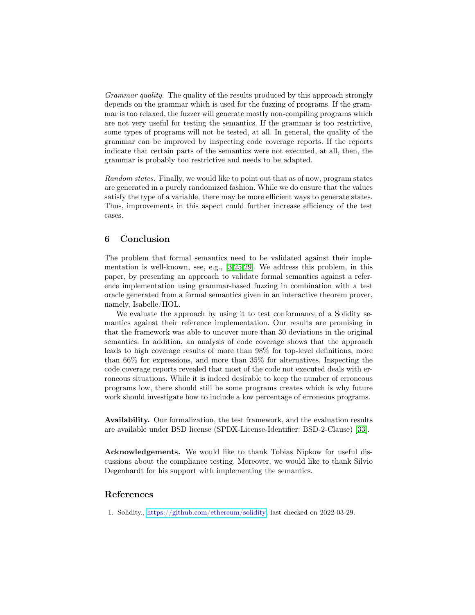Grammar quality. The quality of the results produced by this approach strongly depends on the grammar which is used for the fuzzing of programs. If the grammar is too relaxed, the fuzzer will generate mostly non-compiling programs which are not very useful for testing the semantics. If the grammar is too restrictive, some types of programs will not be tested, at all. In general, the quality of the grammar can be improved by inspecting code coverage reports. If the reports indicate that certain parts of the semantics were not executed, at all, then, the grammar is probably too restrictive and needs to be adapted.

Random states. Finally, we would like to point out that as of now, program states are generated in a purely randomized fashion. While we do ensure that the values satisfy the type of a variable, there may be more efficient ways to generate states. Thus, improvements in this aspect could further increase efficiency of the test cases.

# 6 Conclusion

The problem that formal semantics need to be validated against their implementation is well-known, see, e.g., [\[3,](#page-17-15)[25,](#page-18-14)[29\]](#page-18-15). We address this problem, in this paper, by presenting an approach to validate formal semantics against a reference implementation using grammar-based fuzzing in combination with a test oracle generated from a formal semantics given in an interactive theorem prover, namely, Isabelle/HOL.

We evaluate the approach by using it to test conformance of a Solidity semantics against their reference implementation. Our results are promising in that the framework was able to uncover more than 30 deviations in the original semantics. In addition, an analysis of code coverage shows that the approach leads to high coverage results of more than 98% for top-level definitions, more than 66% for expressions, and more than 35% for alternatives. Inspecting the code coverage reports revealed that most of the code not executed deals with erroneous situations. While it is indeed desirable to keep the number of erroneous programs low, there should still be some programs creates which is why future work should investigate how to include a low percentage of erroneous programs.

Availability. Our formalization, the test framework, and the evaluation results are available under BSD license (SPDX-License-Identifier: BSD-2-Clause) [\[33\]](#page-18-1).

Acknowledgements. We would like to thank Tobias Nipkow for useful discussions about the compliance testing. Moreover, we would like to thank Silvio Degenhardt for his support with implementing the semantics.

## References

<span id="page-16-0"></span>1. Solidity., [https://github.com/ethereum/solidity,](https://github.com/ethereum/solidity) last checked on 2022-03-29.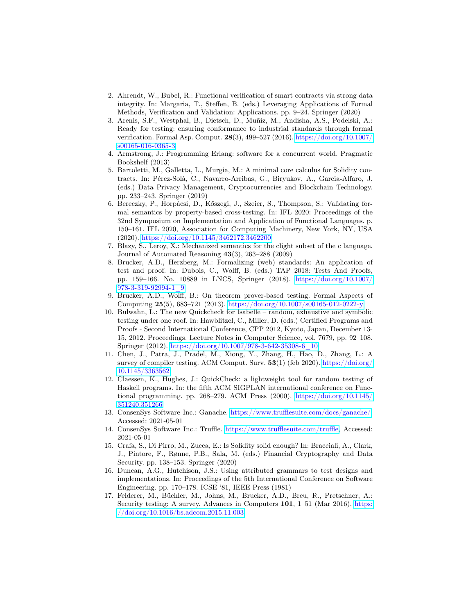- <span id="page-17-6"></span>2. Ahrendt, W., Bubel, R.: Functional verification of smart contracts via strong data integrity. In: Margaria, T., Steffen, B. (eds.) Leveraging Applications of Formal Methods, Verification and Validation: Applications. pp. 9–24. Springer (2020)
- <span id="page-17-15"></span>3. Arenis, S.F., Westphal, B., Dietsch, D., Muñiz, M., Andisha, A.S., Podelski, A.: Ready for testing: ensuring conformance to industrial standards through formal verification. Formal Asp. Comput. 28(3), 499–527 (2016). [https://doi.org/10.1007/](https://doi.org/10.1007/s00165-016-0365-3) [s00165-016-0365-3](https://doi.org/10.1007/s00165-016-0365-3)
- <span id="page-17-11"></span>4. Armstrong, J.: Programming Erlang: software for a concurrent world. Pragmatic Bookshelf (2013)
- <span id="page-17-7"></span>5. Bartoletti, M., Galletta, L., Murgia, M.: A minimal core calculus for Solidity contracts. In: Pérez-Solà, C., Navarro-Arribas, G., Biryukov, A., Garcia-Alfaro, J. (eds.) Data Privacy Management, Cryptocurrencies and Blockchain Technology. pp. 233–243. Springer (2019)
- <span id="page-17-10"></span>6. Bereczky, P., Horpácsi, D., Kőszegi, J., Szeier, S., Thompson, S.: Validating formal semantics by property-based cross-testing. In: IFL 2020: Proceedings of the 32nd Symposium on Implementation and Application of Functional Languages. p. 150–161. IFL 2020, Association for Computing Machinery, New York, NY, USA (2020). <https://doi.org/10.1145/3462172.3462200>
- <span id="page-17-5"></span>7. Blazy, S., Leroy, X.: Mechanized semantics for the clight subset of the c language. Journal of Automated Reasoning 43(3), 263–288 (2009)
- <span id="page-17-9"></span>8. Brucker, A.D., Herzberg, M.: Formalizing (web) standards: An application of test and proof. In: Dubois, C., Wolff, B. (eds.) TAP 2018: Tests And Proofs, pp. 159–166. No. 10889 in LNCS, Springer (2018). [https://doi.org/10.1007/](https://doi.org/10.1007/978-3-319-92994-1\_9) [978-3-319-92994-1\\_9](https://doi.org/10.1007/978-3-319-92994-1\_9)
- <span id="page-17-0"></span>9. Brucker, A.D., Wolff, B.: On theorem prover-based testing. Formal Aspects of Computing 25(5), 683–721 (2013). <https://doi.org/10.1007/s00165-012-0222-y>
- <span id="page-17-1"></span>10. Bulwahn, L.: The new Quickcheck for Isabelle – random, exhaustive and symbolic testing under one roof. In: Hawblitzel, C., Miller, D. (eds.) Certified Programs and Proofs - Second International Conference, CPP 2012, Kyoto, Japan, December 13- 15, 2012. Proceedings. Lecture Notes in Computer Science, vol. 7679, pp. 92–108. Springer (2012). <https://doi.org/10.1007/978-3-642-35308-6\_10>
- <span id="page-17-12"></span>11. Chen, J., Patra, J., Pradel, M., Xiong, Y., Zhang, H., Hao, D., Zhang, L.: A survey of compiler testing. ACM Comput. Surv. 53(1) (feb 2020). [https://doi.org/](https://doi.org/10.1145/3363562) [10.1145/3363562](https://doi.org/10.1145/3363562)
- <span id="page-17-14"></span>12. Claessen, K., Hughes, J.: QuickCheck: a lightweight tool for random testing of Haskell programs. In: the fifth ACM SIGPLAN international conference on Functional programming. pp. 268–279. ACM Press (2000). [https://doi.org/10.1145/](https://doi.org/10.1145/351240.351266) [351240.351266](https://doi.org/10.1145/351240.351266)
- <span id="page-17-3"></span>13. ConsenSys Software Inc.: Ganache. [https://www.trufflesuite.com/docs/ganache/,](https://www.trufflesuite.com/docs/ganache/) Accessed: 2021-05-01
- <span id="page-17-2"></span>14. ConsenSys Software Inc.: Truffle. [https://www.trufflesuite.com/truffle,](https://www.trufflesuite.com/truffle) Accessed: 2021-05-01
- <span id="page-17-8"></span>15. Crafa, S., Di Pirro, M., Zucca, E.: Is Solidity solid enough? In: Bracciali, A., Clark, J., Pintore, F., Rønne, P.B., Sala, M. (eds.) Financial Cryptography and Data Security. pp. 138–153. Springer (2020)
- <span id="page-17-13"></span>16. Duncan, A.G., Hutchison, J.S.: Using attributed grammars to test designs and implementations. In: Proceedings of the 5th International Conference on Software Engineering. pp. 170–178. ICSE '81, IEEE Press (1981)
- <span id="page-17-4"></span>17. Felderer, M., Büchler, M., Johns, M., Brucker, A.D., Breu, R., Pretschner, A.: Security testing: A survey. Advances in Computers 101, 1–51 (Mar 2016). [https:](https://doi.org/10.1016/bs.adcom.2015.11.003) [//doi.org/10.1016/bs.adcom.2015.11.003](https://doi.org/10.1016/bs.adcom.2015.11.003)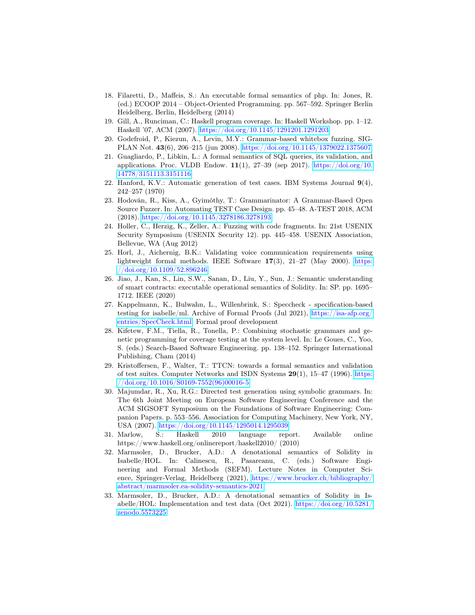- <span id="page-18-10"></span>18. Filaretti, D., Maffeis, S.: An executable formal semantics of php. In: Jones, R. (ed.) ECOOP 2014 – Object-Oriented Programming. pp. 567–592. Springer Berlin Heidelberg, Berlin, Heidelberg (2014)
- <span id="page-18-4"></span>19. Gill, A., Runciman, C.: Haskell program coverage. In: Haskell Workshop. pp. 1–12. Haskell '07, ACM (2007). <https://doi.org/10.1145/1291201.1291203>
- <span id="page-18-8"></span>20. Godefroid, P., Kiezun, A., Levin, M.Y.: Grammar-based whitebox fuzzing. SIG-PLAN Not. 43(6), 206–215 (jun 2008). <https://doi.org/10.1145/1379022.1375607>
- <span id="page-18-12"></span>21. Guagliardo, P., Libkin, L.: A formal semantics of SQL queries, its validation, and applications. Proc. VLDB Endow. 11(1), 27–39 (sep 2017). [https://doi.org/10.](https://doi.org/10.14778/3151113.3151116) [14778/3151113.3151116](https://doi.org/10.14778/3151113.3151116)
- <span id="page-18-5"></span>22. Hanford, K.V.: Automatic generation of test cases. IBM Systems Journal 9(4), 242–257 (1970)
- <span id="page-18-2"></span>23. Hodován, R., Kiss, A., Gyimóthy, T.: Grammarinator: A Grammar-Based Open Source Fuzzer. In: Automating TEST Case Design. pp. 45–48. A-TEST 2018, ACM (2018). <https://doi.org/10.1145/3278186.3278193>
- <span id="page-18-6"></span>24. Holler, C., Herzig, K., Zeller, A.: Fuzzing with code fragments. In: 21st USENIX Security Symposium (USENIX Security 12). pp. 445–458. USENIX Association, Bellevue, WA (Aug 2012)
- <span id="page-18-14"></span>25. Horl, J., Aichernig, B.K.: Validating voice communication requirements using lightweight formal methods. IEEE Software 17(3), 21–27 (May 2000). [https:](https://doi.org/10.1109/52.896246) [//doi.org/10.1109/52.896246](https://doi.org/10.1109/52.896246)
- <span id="page-18-11"></span>26. Jiao, J., Kan, S., Lin, S.W., Sanan, D., Liu, Y., Sun, J.: Semantic understanding of smart contracts: executable operational semantics of Solidity. In: SP. pp. 1695– 1712. IEEE (2020)
- <span id="page-18-13"></span>27. Kappelmann, K., Bulwahn, L., Willenbrink, S.: Speccheck - specification-based testing for isabelle/ml. Archive of Formal Proofs (Jul 2021), [https://isa-afp.org/](https://isa-afp.org/entries/SpecCheck.html) [entries/SpecCheck.html,](https://isa-afp.org/entries/SpecCheck.html) Formal proof development
- <span id="page-18-7"></span>28. Kifetew, F.M., Tiella, R., Tonella, P.: Combining stochastic grammars and genetic programming for coverage testing at the system level. In: Le Goues, C., Yoo, S. (eds.) Search-Based Software Engineering. pp. 138–152. Springer International Publishing, Cham (2014)
- <span id="page-18-15"></span>29. Kristoffersen, F., Walter, T.: TTCN: towards a formal semantics and validation of test suites. Computer Networks and ISDN Systems  $29(1)$ ,  $15-47$  (1996). [https:](https://doi.org/10.1016/S0169-7552(96)00016-5) [//doi.org/10.1016/S0169-7552\(96\)00016-5](https://doi.org/10.1016/S0169-7552(96)00016-5)
- <span id="page-18-9"></span>30. Majumdar, R., Xu, R.G.: Directed test generation using symbolic grammars. In: The 6th Joint Meeting on European Software Engineering Conference and the ACM SIGSOFT Symposium on the Foundations of Software Engineering: Companion Papers. p. 553–556. Association for Computing Machinery, New York, NY, USA (2007). <https://doi.org/10.1145/1295014.1295039>
- <span id="page-18-3"></span>31. Marlow, S.: Haskell 2010 language report. Available online https://www.haskell.org/onlinereport/haskell2010/ (2010)
- <span id="page-18-0"></span>32. Marmsoler, D., Brucker, A.D.: A denotational semantics of Solidity in Isabelle/HOL. In: Calinescu, R., Pasareanu, C. (eds.) Software Engineering and Formal Methods (SEFM). Lecture Notes in Computer Science, Springer-Verlag, Heidelberg (2021), [https://www.brucker.ch/bibliography/](https://www.brucker.ch/bibliography/abstract/marmsoler.ea-solidity-semantics-2021) [abstract/marmsoler.ea-solidity-semantics-2021](https://www.brucker.ch/bibliography/abstract/marmsoler.ea-solidity-semantics-2021)
- <span id="page-18-1"></span>33. Marmsoler, D., Brucker, A.D.: A denotational semantics of Solidity in Isabelle/HOL: Implementation and test data (Oct 2021). [https://doi.org/10.5281/](https://doi.org/10.5281/zenodo.5573225) [zenodo.5573225](https://doi.org/10.5281/zenodo.5573225)